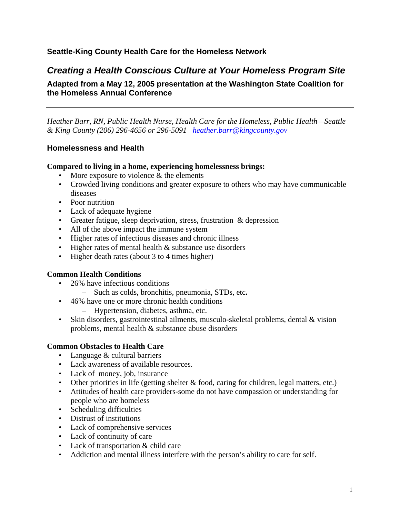### **Seattle-King County Health Care for the Homeless Network**

## *Creating a Health Conscious Culture at Your Homeless Program Site*

**Adapted from a May 12, 2005 presentation at the Washington State Coalition for the Homeless Annual Conference** 

*Heather Barr, RN, Public Health Nurse, Health Care for the Homeless, Public Health—Seattle & King County (206) 296-4656 or 296-5091 heather.barr@kingcounty.gov* 

#### **Homelessness and Health**

#### **Compared to living in a home, experiencing homelessness brings:**

- More exposure to violence  $&$  the elements
- Crowded living conditions and greater exposure to others who may have communicable diseases
- Poor nutrition
- Lack of adequate hygiene
- Greater fatigue, sleep deprivation, stress, frustration & depression
- All of the above impact the immune system
- Higher rates of infectious diseases and chronic illness
- Higher rates of mental health & substance use disorders
- Higher death rates (about 3 to 4 times higher)

#### **Common Health Conditions**

- 26% have infectious conditions
	- Such as colds, bronchitis, pneumonia, STDs, etc**.**
- 46% have one or more chronic health conditions
	- Hypertension, diabetes, asthma, etc.
- Skin disorders, gastrointestinal ailments, musculo-skeletal problems, dental & vision problems, mental health & substance abuse disorders

#### **Common Obstacles to Health Care**

- Language & cultural barriers
- Lack awareness of available resources.
- Lack of money, job, insurance
- Other priorities in life (getting shelter  $&$  food, caring for children, legal matters, etc.)
- Attitudes of health care providers-some do not have compassion or understanding for people who are homeless
- Scheduling difficulties
- Distrust of institutions
- Lack of comprehensive services
- Lack of continuity of care
- Lack of transportation & child care
- Addiction and mental illness interfere with the person's ability to care for self.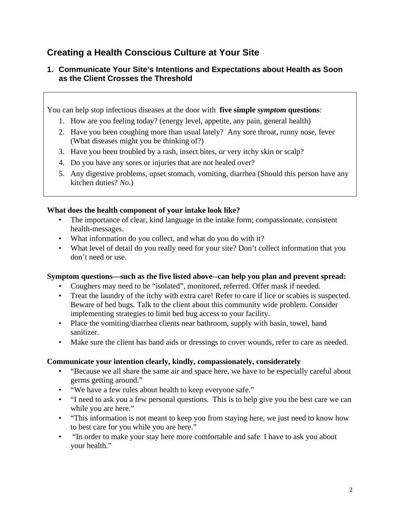## **Creating a Health Conscious Culture at Your Site**

## **1. Communicate Your Site's Intentions and Expectations about Health as Soon as the Client Crosses the Threshold**

You can help stop infectious diseases at the door with **five simple** *symptom* **questions**:

- 1. How are you feeling today? (energy level, appetite, any pain, general health)
- 2. Have you been coughing more than usual lately? Any sore throat, runny nose, fever (What diseases might you be thinking of?)
- 3. Have you been troubled by a rash, insect bites, or very itchy skin or scalp?
- 4. Do you have any sores or injuries that are not healed over?
- 5. Any digestive problems, upset stomach, vomiting, diarrhea (Should this person have any kitchen duties? *No*.)

### **What does the health component of your intake look like?**

- The importance of clear, kind language in the intake form; compassionate, consistent health-messages.
- What information do you collect, and what do you do with it?
- What level of detail do you really need for your site? Don't collect information that you don't need or use.

#### **Symptom questions—such as the five listed above--can help you plan and prevent spread:**

- Coughers may need to be "isolated", monitored, referred. Offer mask if needed.
- Treat the laundry of the itchy with extra care! Refer to care if lice or scabies is suspected. Beware of bed bugs. Talk to the client about this community wide problem. Consider implementing strategies to limit bed bug access to your facility.
- Place the vomiting/diarrhea clients near bathroom, supply with basin, towel, hand sanitizer.
- Make sure the client has band aids or dressings to cover wounds, refer to care as needed.

## **Communicate your intention clearly, kindly, compassionately, considerately**

- "Because we all share the same air and space here, we have to be especially careful about germs getting around."
- "We have a few rules about health to keep everyone safe."
- "I need to ask you a few personal questions. This is to help give you the best care we can while you are here."
- "This information is not meant to keep you from staying here, we just need to know how to best care for you while you are here."
- "In order to make your stay here more comfortable and safe I have to ask you about your health."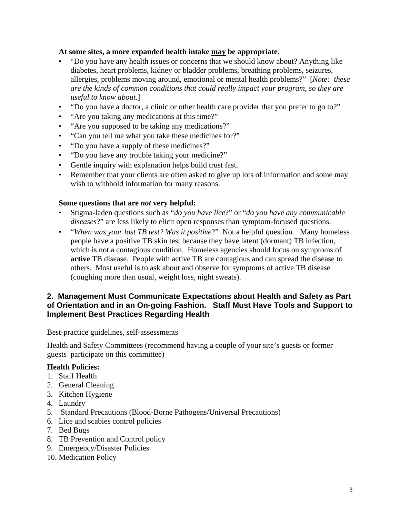#### **At some sites, a more expanded health intake may be appropriate.**

- "Do you have any health issues or concerns that we should know about? Anything like diabetes, heart problems, kidney or bladder problems, breathing problems, seizures, allergies, problems moving around, emotional or mental health problems?" [*Note: these are the kinds of common conditions that could really impact your program, so they are useful to know about.*]
- "Do you have a doctor, a clinic or other health care provider that you prefer to go to?"
- "Are you taking any medications at this time?"
- "Are you supposed to be taking any medications?"
- "Can you tell me what you take these medicines for?"
- "Do you have a supply of these medicines?"
- "Do you have any trouble taking your medicine?"
- Gentle inquiry with explanation helps build trust fast.
- Remember that your clients are often asked to give up lots of information and some may wish to withhold information for many reasons.

#### **Some questions that are** *not* **very helpful:**

- Stigma-laden questions such as "*do you have lice*?" or "*do you have any communicable diseases*?" are less likely to elicit open responses than symptom-focused questions.
- "*When was your last TB test? Was it positive*?" Not a helpful question. Many homeless people have a positive TB skin test because they have latent (dormant) TB infection, which is not a contagious condition. Homeless agencies should focus on symptoms of **active** TB disease. People with active TB are contagious and can spread the disease to others. Most useful is to ask about and observe for symptoms of active TB disease (coughing more than usual, weight loss, night sweats).

#### **2. Management Must Communicate Expectations about Health and Safety as Part of Orientation and in an On-going Fashion. Staff Must Have Tools and Support to Implement Best Practices Regarding Health**

Best-practice guidelines, self-assessments

Health and Safety Committees (recommend having a couple of your site's guests or former guests participate on this committee)

#### **Health Policies:**

- 1. Staff Health
- 2. General Cleaning
- 3. Kitchen Hygiene
- 4. Laundry
- 5. Standard Precautions (Blood-Borne Pathogens/Universal Precautions)
- 6. Lice and scabies control policies
- 7. Bed Bugs
- 8. TB Prevention and Control policy
- 9. Emergency/Disaster Policies
- 10. Medication Policy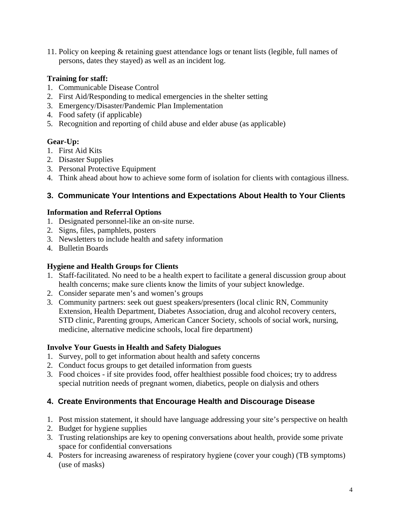11. Policy on keeping & retaining guest attendance logs or tenant lists (legible, full names of persons, dates they stayed) as well as an incident log.

### **Training for staff:**

- 1. Communicable Disease Control
- 2. First Aid/Responding to medical emergencies in the shelter setting
- 3. Emergency/Disaster/Pandemic Plan Implementation
- 4. Food safety (if applicable)
- 5. Recognition and reporting of child abuse and elder abuse (as applicable)

### **Gear-Up:**

- 1. First Aid Kits
- 2. Disaster Supplies
- 3. Personal Protective Equipment
- 4. Think ahead about how to achieve some form of isolation for clients with contagious illness.

## **3. Communicate Your Intentions and Expectations About Health to Your Clients**

#### **Information and Referral Options**

- 1. Designated personnel-like an on-site nurse.
- 2. Signs, files, pamphlets, posters
- 3. Newsletters to include health and safety information
- 4. Bulletin Boards

## **Hygiene and Health Groups for Clients**

- 1. Staff-facilitated. No need to be a health expert to facilitate a general discussion group about health concerns; make sure clients know the limits of your subject knowledge.
- 2. Consider separate men's and women's groups
- 3. Community partners: seek out guest speakers/presenters (local clinic RN, Community Extension, Health Department, Diabetes Association, drug and alcohol recovery centers, STD clinic, Parenting groups, American Cancer Society, schools of social work, nursing, medicine, alternative medicine schools, local fire department)

## **Involve Your Guests in Health and Safety Dialogues**

- 1. Survey, poll to get information about health and safety concerns
- 2. Conduct focus groups to get detailed information from guests
- 3. Food choices if site provides food, offer healthiest possible food choices; try to address special nutrition needs of pregnant women, diabetics, people on dialysis and others

## **4. Create Environments that Encourage Health and Discourage Disease**

- 1. Post mission statement, it should have language addressing your site's perspective on health
- 2. Budget for hygiene supplies
- 3. Trusting relationships are key to opening conversations about health, provide some private space for confidential conversations
- 4. Posters for increasing awareness of respiratory hygiene (cover your cough) (TB symptoms) (use of masks)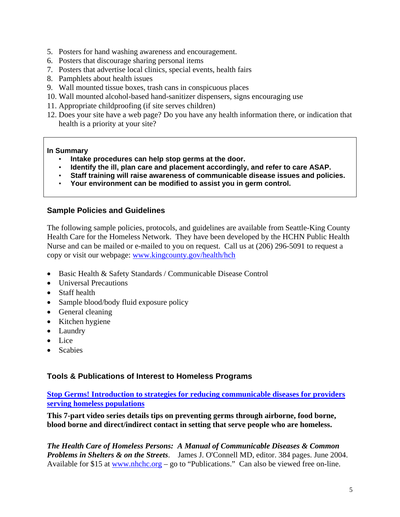- 5. Posters for hand washing awareness and encouragement.
- 6. Posters that discourage sharing personal items
- 7. Posters that advertise local clinics, special events, health fairs
- 8. Pamphlets about health issues
- 9. Wall mounted tissue boxes, trash cans in conspicuous places
- 10. Wall mounted alcohol-based hand-sanitizer dispensers, signs encouraging use
- 11. Appropriate childproofing (if site serves children)
- 12. Does your site have a web page? Do you have any health information there, or indication that health is a priority at your site?

#### **In Summary**

- **Intake procedures can help stop germs at the door.**
- **Identify the ill, plan care and placement accordingly, and refer to care ASAP.**
- **Staff training will raise awareness of communicable disease issues and policies.**
- **Your environment can be modified to assist you in germ control.**

#### **Sample Policies and Guidelines**

The following sample policies, protocols, and guidelines are available from Seattle-King County Health Care for the Homeless Network. They have been developed by the HCHN Public Health Nurse and can be mailed or e-mailed to you on request. Call us at (206) 296-5091 to request a copy or visit our webpage: www.kingcounty.gov/health/hch

- Basic Health & Safety Standards / Communicable Disease Control
- Universal Precautions
- Staff health
- Sample blood/body fluid exposure policy
- General cleaning
- Kitchen hygiene
- Laundry
- Lice
- Scabies

#### **Tools & Publications of Interest to Homeless Programs**

#### **Stop Germs! Introduction to strategies for reducing communicable diseases for providers serving homeless populations**

**This 7-part video series details tips on preventing germs through airborne, food borne, blood borne and direct/indirect contact in setting that serve people who are homeless.**

*The Health Care of Homeless Persons: A Manual of Communicable Diseases & Common Problems in Shelters & on the Streets*. James J. O'Connell MD, editor. 384 pages. June 2004. Available for \$15 at www.nhchc.org – go to "Publications." Can also be viewed free on-line.